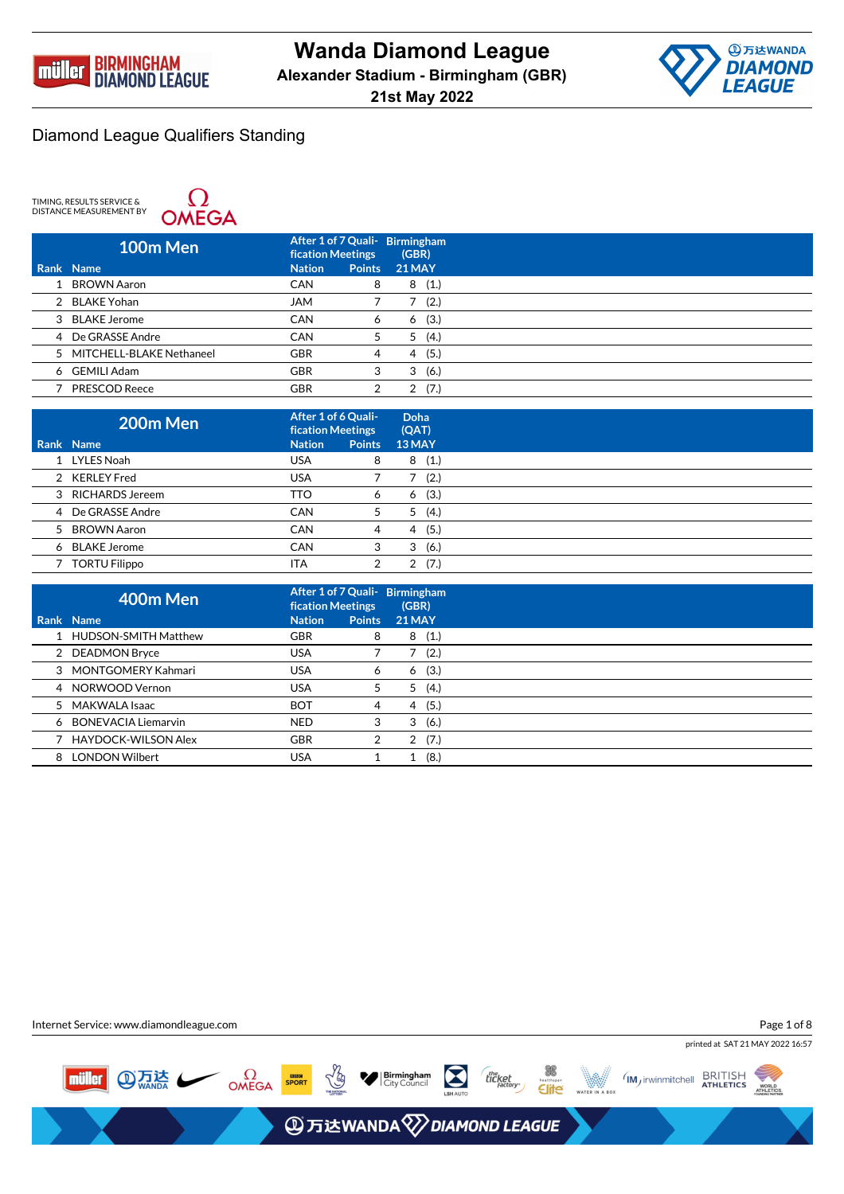



TIMING, RESULTS SERVICE &<br>DISTANCE MEASUREMENT BY



| 100m Men                   | <b>fication Meetings</b> |               | After 1 of 7 Quali- Birmingham<br>(GBR) |  |
|----------------------------|--------------------------|---------------|-----------------------------------------|--|
| Rank Name                  | <b>Nation</b>            | <b>Points</b> | <b>21 MAY</b>                           |  |
| BROWN Aaron                | <b>CAN</b>               | 8             | (1.)<br>8                               |  |
| 2 BLAKE Yohan              | <b>JAM</b>               |               | (2.)                                    |  |
| 3 BLAKE Jerome             | <b>CAN</b>               | 6             | (3.)<br>6                               |  |
| 4 De GRASSE Andre          | <b>CAN</b>               | 5             | (4.)<br>5                               |  |
| 5 MITCHELL-BLAKE Nethaneel | <b>GBR</b>               | 4             | (5.)<br>4                               |  |
| 6 GEMILI Adam              | <b>GBR</b>               | 3             | (6.)<br>3                               |  |
| <b>PRESCOD Reece</b>       | <b>GBR</b>               | 2             | (7.)<br>っ                               |  |

| 200m Men             | After 1 of 6 Quali-<br>fication Meetings |               | Doha<br>(QAT) |
|----------------------|------------------------------------------|---------------|---------------|
| Rank Name            | <b>Nation</b>                            | <b>Points</b> | 13 MAY        |
| 1 LYLES Noah         | USA                                      | 8             | (1.)<br>8     |
| 2 KERLEY Fred        | USA                                      |               | (2.)          |
| 3 RICHARDS Jereem    | TTO                                      | 6             | (3.)<br>6     |
| 4 De GRASSE Andre    | <b>CAN</b>                               | 5             | (4.)<br>5     |
| 5 BROWN Aaron        | <b>CAN</b>                               | 4             | (5.)<br>4     |
| 6 BLAKE Jerome       | <b>CAN</b>                               | 3             | (6.)<br>3     |
| <b>TORTU Filippo</b> | ITA                                      | 2             | (7.)<br>2     |

|     | 400m Men               | After 1 of 7 Quali- Birmingham<br><b>fication Meetings</b> |               | (GBR)         |
|-----|------------------------|------------------------------------------------------------|---------------|---------------|
|     | Rank Name              | <b>Nation</b>                                              | <b>Points</b> | <b>21 MAY</b> |
|     | 1 HUDSON-SMITH Matthew | <b>GBR</b>                                                 | 8             | 8(1.)         |
|     | 2 DEADMON Bryce        | <b>USA</b>                                                 |               | (2.)          |
|     | 3 MONTGOMERY Kahmari   | <b>USA</b>                                                 | 6             | 6(3.)         |
|     | 4 NORWOOD Vernon       | <b>USA</b>                                                 | 5             | (4.)<br>5     |
|     | 5 MAKWALA Isaac        | <b>BOT</b>                                                 | 4             | 4(5.)         |
|     | 6 BONEVACIA Liemarvin  | <b>NED</b>                                                 | 3             | 3<br>(6.)     |
|     | 7 HAYDOCK-WILSON Alex  | <b>GBR</b>                                                 | 2             | 2(7.)         |
| 8 I | <b>LONDON Wilbert</b>  | <b>USA</b>                                                 |               | (8.)          |

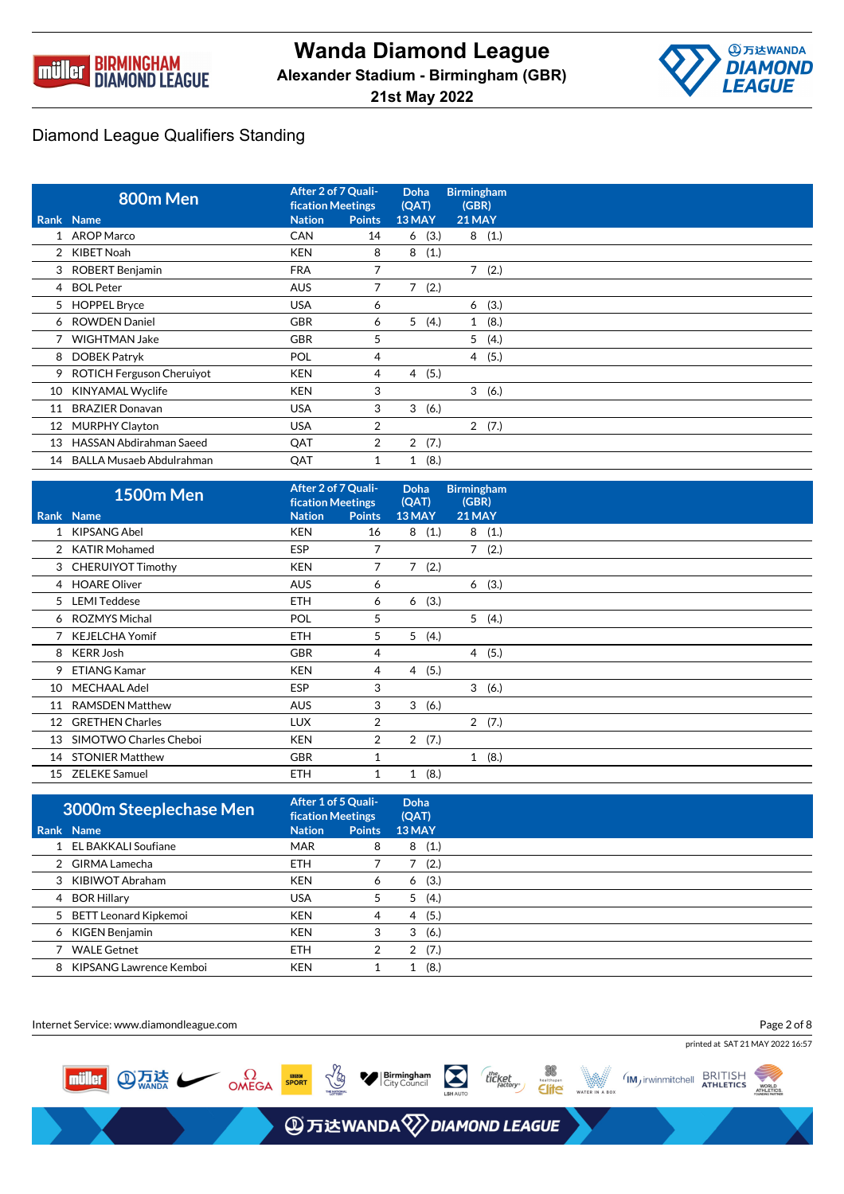



|                 | 800m Men                         | After 2 of 7 Quali-<br><b>fication Meetings</b> |               | <b>Doha</b><br>(QAT) | <b>Birmingham</b><br>(GBR) |       |
|-----------------|----------------------------------|-------------------------------------------------|---------------|----------------------|----------------------------|-------|
|                 | Rank Name                        | <b>Nation</b>                                   | <b>Points</b> | 13 MAY               | 21 MAY                     |       |
|                 | 1 AROP Marco                     | <b>CAN</b>                                      | 14            | 6(3.)                |                            | 8(1.) |
|                 | 2 KIBET Noah                     | <b>KEN</b>                                      | 8             | 8<br>(1.)            |                            |       |
|                 | 3 ROBERT Benjamin                | <b>FRA</b>                                      | 7             |                      |                            | 7(2.) |
|                 | 4 BOL Peter                      | <b>AUS</b>                                      | 7             | 7(2.)                |                            |       |
|                 | 5 HOPPEL Bryce                   | <b>USA</b>                                      | 6             |                      | 6                          | (3.)  |
|                 | 6 ROWDEN Daniel                  | <b>GBR</b>                                      | 6             | 5<br>(4.)            | $\mathbf{1}$               | (8.)  |
|                 | <b>WIGHTMAN Jake</b>             | <b>GBR</b>                                      | 5             |                      | 5                          | (4.)  |
|                 | 8 DOBEK Patryk                   | POL                                             | 4             |                      |                            | 4(5.) |
| 9               | <b>ROTICH Ferguson Cheruiyot</b> | <b>KEN</b>                                      | 4             | 4(5.)                |                            |       |
| 10              | KINYAMAL Wyclife                 | <b>KEN</b>                                      | 3             |                      |                            | 3(6.) |
| 11              | <b>BRAZIER Donavan</b>           | <b>USA</b>                                      | 3             | 3<br>(6.)            |                            |       |
| 12 <sup>2</sup> | <b>MURPHY Clayton</b>            | <b>USA</b>                                      | 2             |                      |                            | 2(7.) |
| 13              | <b>HASSAN Abdirahman Saeed</b>   | QAT                                             | 2             | 2(7.)                |                            |       |
|                 | 14 BALLA Musaeb Abdulrahman      | QAT                                             |               | (8.)<br>1            |                            |       |

|    | <b>1500m Men</b>       | After 2 of 7 Quali-<br><b>fication Meetings</b> |                | Doha<br>(QAT)          | <b>Birmingham</b><br>(GBR) |  |
|----|------------------------|-------------------------------------------------|----------------|------------------------|----------------------------|--|
|    | Rank Name              | <b>Nation</b>                                   | <b>Points</b>  | 13 MAY                 | <b>21 MAY</b>              |  |
|    | <b>KIPSANG Abel</b>    | <b>KEN</b>                                      | 16             | 8<br>(1.)              | (1.)<br>8                  |  |
|    | 2 KATIR Mohamed        | <b>ESP</b>                                      | 7              |                        | 7<br>(2.)                  |  |
|    | 3 CHERUIYOT Timothy    | <b>KEN</b>                                      | 7              | $\overline{7}$<br>(2.) |                            |  |
|    | 4 HOARE Oliver         | <b>AUS</b>                                      | 6              |                        | 6(3.)                      |  |
|    | 5 LEMI Teddese         | <b>ETH</b>                                      | 6              | (3.)<br>6              |                            |  |
|    | 6 ROZMYS Michal        | POL                                             | 5              |                        | 5(4.)                      |  |
|    | 7 KEJELCHA Yomif       | <b>ETH</b>                                      | 5              | 5<br>(4.)              |                            |  |
| 8  | KERR Josh              | <b>GBR</b>                                      | 4              |                        | 4(5.)                      |  |
| 9  | <b>ETIANG Kamar</b>    | <b>KEN</b>                                      | 4              | (5.)<br>4              |                            |  |
| 10 | MECHAAL Adel           | <b>ESP</b>                                      | 3              |                        | 3<br>(6.)                  |  |
| 11 | <b>RAMSDEN Matthew</b> | <b>AUS</b>                                      | 3              | 3(6.)                  |                            |  |
| 12 | <b>GRETHEN Charles</b> | <b>LUX</b>                                      | 2              |                        | 2(7.)                      |  |
| 13 | SIMOTWO Charles Cheboi | <b>KEN</b>                                      | $\overline{2}$ | 2(7.)                  |                            |  |
| 14 | <b>STONIER Matthew</b> | <b>GBR</b>                                      | 1              |                        | 1(8.)                      |  |
| 15 | <b>ZELEKE Samuel</b>   | <b>ETH</b>                                      | 1              | (8.)<br>$\mathbf{1}$   |                            |  |

| <b>3000m Steeplechase Men</b> | After 1 of 5 Quali-<br><b>fication Meetings</b> |               | Doha<br>(QAT) |
|-------------------------------|-------------------------------------------------|---------------|---------------|
| Rank Name                     | <b>Nation</b>                                   | <b>Points</b> | 13 MAY        |
| 1 EL BAKKALI Soufiane         | <b>MAR</b>                                      | 8             | (1.)<br>8     |
| 2 GIRMA Lamecha               | <b>ETH</b>                                      |               | (2.)          |
| 3 KIBIWOT Abraham             | <b>KEN</b>                                      | 6             | (3.)<br>6     |
| 4 BOR Hillary                 | <b>USA</b>                                      | 5             | (4.)<br>5     |
| 5 BETT Leonard Kipkemoi       | <b>KEN</b>                                      | 4             | (5.)<br>4     |
| 6 KIGEN Benjamin              | <b>KEN</b>                                      | 3             | (6.)<br>3     |
| <b>WALE Getnet</b>            | <b>ETH</b>                                      | 2             | (7.)<br>2     |
| 8 KIPSANG Lawrence Kemboi     | <b>KEN</b>                                      |               | (8.)          |

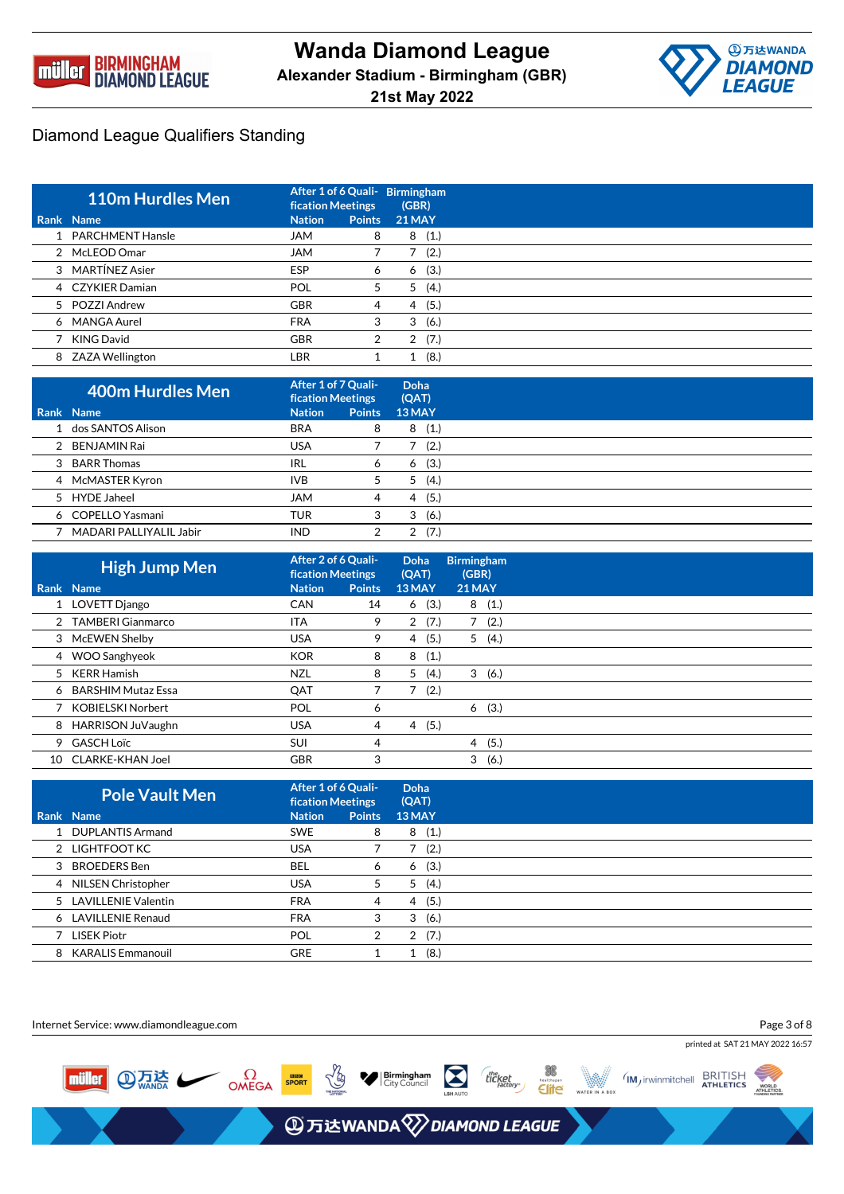



| 110m Hurdles Men   | <b>fication Meetings</b> |               | After 1 of 6 Quali - Birmingham<br>(GBR) |
|--------------------|--------------------------|---------------|------------------------------------------|
| Rank Name          | <b>Nation</b>            | <b>Points</b> | <b>21 MAY</b>                            |
| 1 PARCHMENT Hansle | <b>JAM</b>               | 8             | (1.)<br>8                                |
| 2 McLEOD Omar      | <b>JAM</b>               |               | (2.)                                     |
| 3 MARTÍNEZ Asier   | <b>ESP</b>               | 6             | (3.)<br>6                                |
| 4 CZYKIER Damian   | POL                      | 5             | (4.)<br>5                                |
| 5 POZZI Andrew     | <b>GBR</b>               | 4             | (5.)<br>4                                |
| 6 MANGA Aurel      | <b>FRA</b>               | 3             | (6.)<br>3                                |
| KING David         | <b>GBR</b>               | 2             | (7.)<br>2                                |
| 8 ZAZA Wellington  | LBR                      |               | (8.)                                     |

| 400m Hurdles Men        | After 1 of 7 Quali-<br><b>fication Meetings</b> |               | Doha<br>(QAT) |
|-------------------------|-------------------------------------------------|---------------|---------------|
| Rank Name               | <b>Nation</b>                                   | <b>Points</b> | $13$ MAY      |
| 1 dos SANTOS Alison     | <b>BRA</b>                                      | 8             | (1.)<br>8     |
| 2 BENJAMIN Rai          | USA                                             |               | (2.)          |
| 3 BARR Thomas           | IRL                                             | 6             | (3.)<br>6     |
| 4 McMASTER Kyron        | <b>IVB</b>                                      | 5             | (4.)<br>5     |
| 5 HYDE Jaheel           | <b>JAM</b>                                      | 4             | (5.)<br>4     |
| 6 COPELLO Yasmani       | <b>TUR</b>                                      | 3             | (6.)<br>3     |
| MADARI PALLIYALIL Jabir | <b>IND</b>                                      |               | (7.)          |

|     | <b>High Jump Men</b> | After 2 of 6 Quali-<br><b>fication Meetings</b> |               | <b>Doha</b><br>(QAT) | <b>Birmingham</b><br>(GBR) |  |
|-----|----------------------|-------------------------------------------------|---------------|----------------------|----------------------------|--|
|     | Rank Name            | <b>Nation</b>                                   | <b>Points</b> | 13 MAY               | <b>21 MAY</b>              |  |
|     | 1 LOVETT Django      | <b>CAN</b>                                      | 14            | (3.)<br>6            | 8(1.)                      |  |
|     | 2 TAMBERI Gianmarco  | ITA                                             | 9             | (7.)<br>2            | (2.)<br>7                  |  |
|     | 3 McEWEN Shelby      | <b>USA</b>                                      | 9             | (5.)<br>4            | 5(4.)                      |  |
|     | 4 WOO Sanghyeok      | <b>KOR</b>                                      | 8             | 8<br>(1.)            |                            |  |
|     | 5 KERR Hamish        | <b>NZL</b>                                      | 8             | 5<br>(4.)            | 3<br>(6.)                  |  |
|     | 6 BARSHIM Mutaz Essa | QAT                                             | 7             | (2.)                 |                            |  |
|     | 7 KOBIELSKI Norbert  | POL                                             | 6             |                      | (3.)<br>6                  |  |
| 8   | HARRISON JuVaughn    | <b>USA</b>                                      | 4             | (5.)<br>4            |                            |  |
|     | 9 GASCH Loïc         | <b>SUI</b>                                      | 4             |                      | (5.)<br>$\overline{4}$     |  |
| 10. | CLARKE-KHAN Joel     | <b>GBR</b>                                      | 3             |                      | 3<br>(6.)                  |  |

| <b>Pole Vault Men</b> | After 1 of 6 Quali-<br><b>fication Meetings</b> |               | Doha<br>(QAT) |
|-----------------------|-------------------------------------------------|---------------|---------------|
| Rank Name             | <b>Nation</b>                                   | <b>Points</b> | 13 MAY        |
| 1 DUPLANTIS Armand    | <b>SWE</b>                                      | 8             | 8(1.)         |
| 2 LIGHTFOOT KC        | <b>USA</b>                                      |               | (2.)          |
| 3 BROEDERS Ben        | BEL                                             | 6             | (3.)<br>6     |
| 4 NILSEN Christopher  | <b>USA</b>                                      | 5             | 5(4)          |
| 5 LAVILLENIE Valentin | <b>FRA</b>                                      | 4             | (5.)<br>4     |
| 6 LAVILLENIE Renaud   | <b>FRA</b>                                      | 3             | 3(6.)         |
| 7 LISEK Piotr         | <b>POL</b>                                      | 2             | 2(7.)         |
| 8 KARALIS Emmanouil   | <b>GRE</b>                                      | 1             | (8.)          |

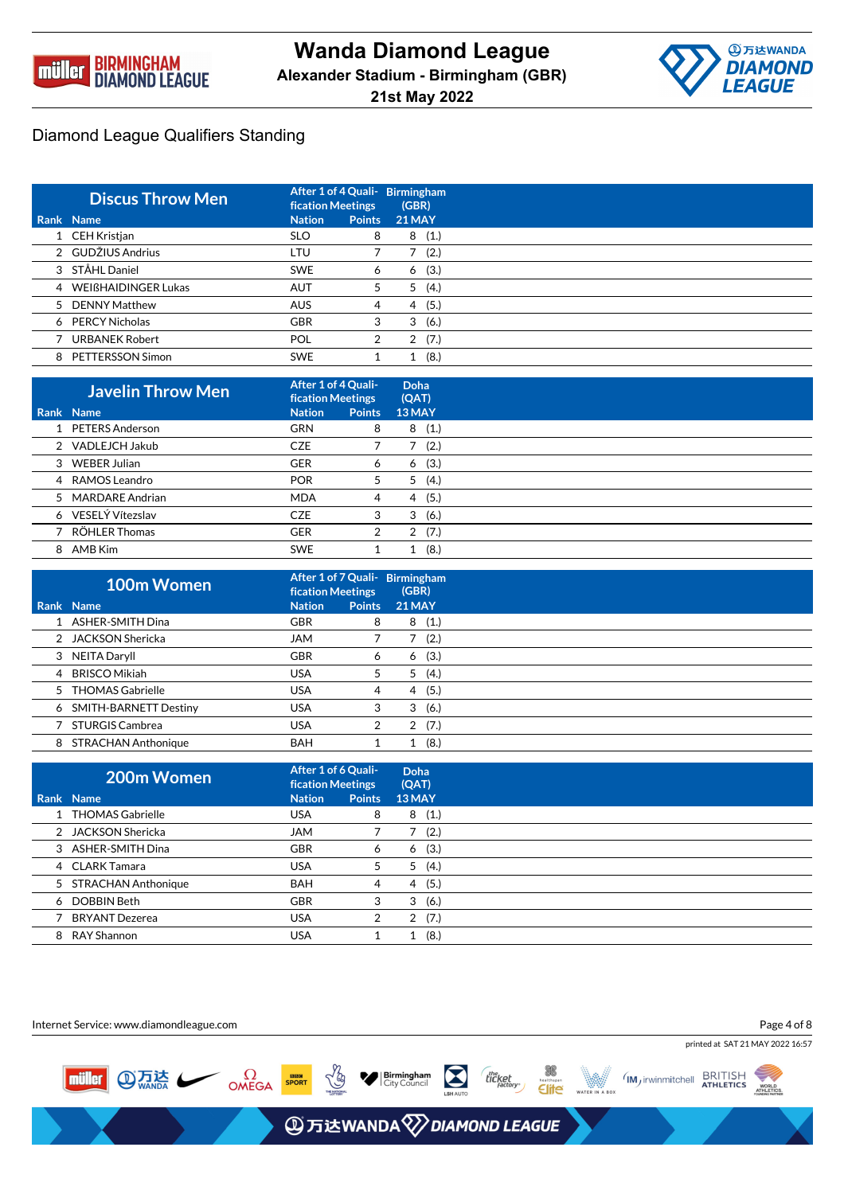



| <b>Discus Throw Men</b> | <b>fication Meetings</b> |               | After 1 of 4 Quali- Birmingham<br>(GBR) |
|-------------------------|--------------------------|---------------|-----------------------------------------|
| Rank Name               | <b>Nation</b>            | <b>Points</b> | <b>21 MAY</b>                           |
| 1 CEH Kristjan          | <b>SLO</b>               | 8             | (1.)<br>8                               |
| 2 GUDŽIUS Andrius       | LTU                      |               | (2.)                                    |
| 3 STÅHL Daniel          | <b>SWE</b>               | 6             | (3.)<br>6                               |
| 4 WEIßHAIDINGER Lukas   | <b>AUT</b>               | 5             | (4.)<br>5                               |
| 5 DENNY Matthew         | <b>AUS</b>               | 4             | (5.)<br>4                               |
| 6 PERCY Nicholas        | <b>GBR</b>               | 3             | (6.)<br>3                               |
| <b>URBANEK Robert</b>   | POL                      | 2             | (7.)<br>2                               |
| 8 PETTERSSON Simon      | <b>SWE</b>               |               | (8.)                                    |

| <b>Javelin Throw Men</b> | After 1 of 4 Quali-<br><b>fication Meetings</b> |               | Doha<br>(QAT) |
|--------------------------|-------------------------------------------------|---------------|---------------|
| Rank Name                | <b>Nation</b>                                   | <b>Points</b> | 13 MAY        |
| 1 PETERS Anderson        | <b>GRN</b>                                      | 8             | (1.)<br>8     |
| 2 VADLEJCH Jakub         | <b>CZE</b>                                      |               | (2.)          |
| 3 WEBER Julian           | <b>GER</b>                                      | 6             | (3.)<br>6     |
| 4 RAMOS Leandro          | <b>POR</b>                                      | 5             | (4.)<br>5     |
| 5 MARDARE Andrian        | <b>MDA</b>                                      | 4             | (5.)<br>4     |
| 6 VESELÝ Vítezslav       | <b>CZE</b>                                      | 3             | (6.)<br>3     |
| RÖHLER Thomas            | <b>GER</b>                                      | 2             | (7.)<br>2     |
| 8 AMB Kim                | <b>SWE</b>                                      |               | (8.)          |

|   | 100m Women                 | After 1 of 7 Quali- Birmingham<br><b>fication Meetings</b> |   | (GBR)         |
|---|----------------------------|------------------------------------------------------------|---|---------------|
|   | Rank Name                  | <b>Nation</b><br><b>Points</b>                             |   | <b>21 MAY</b> |
|   | ASHER-SMITH Dina           | <b>GBR</b>                                                 | 8 | (1.)<br>8     |
|   | 2 JACKSON Shericka         | <b>JAM</b>                                                 |   | (2.)          |
| 3 | NEITA Daryll               | <b>GBR</b><br>6                                            |   | (3.)<br>6     |
| 4 | <b>BRISCO Mikiah</b>       | <b>USA</b>                                                 | 5 | (4.)<br>5     |
|   | 5 THOMAS Gabrielle         | <b>USA</b>                                                 | 4 | (5.)<br>4     |
|   | 6 SMITH-BARNETT Destiny    | <b>USA</b><br>3                                            |   | (6.)<br>3     |
|   | <b>STURGIS Cambrea</b>     | <b>USA</b><br>2                                            |   | (7.)<br>2     |
| 8 | <b>STRACHAN Anthonique</b> | <b>BAH</b>                                                 |   | (8.)          |

|   | 200m Women            | After 1 of 6 Quali-<br><b>fication Meetings</b> |               | Doha<br>(QAT) |
|---|-----------------------|-------------------------------------------------|---------------|---------------|
|   | Rank Name             | <b>Nation</b>                                   | <b>Points</b> | <b>13 MAY</b> |
|   | 1 THOMAS Gabrielle    | <b>USA</b>                                      | 8             | (1.)<br>8     |
|   | 2 JACKSON Shericka    | <b>JAM</b>                                      |               | (2.)          |
|   | 3 ASHER-SMITH Dina    | <b>GBR</b>                                      | 6             | (3.)<br>6     |
|   | 4 CLARK Tamara        | <b>USA</b>                                      | 5             | 5<br>(4.)     |
|   | 5 STRACHAN Anthonique | <b>BAH</b>                                      | 4             | (5.)<br>4     |
|   | 6 DOBBIN Beth         | <b>GBR</b>                                      | 3             | 3<br>(6.)     |
|   | <b>BRYANT Dezerea</b> | USA                                             | 2             | (7.)<br>2     |
| 8 | RAY Shannon           | USA                                             |               | (8.)          |

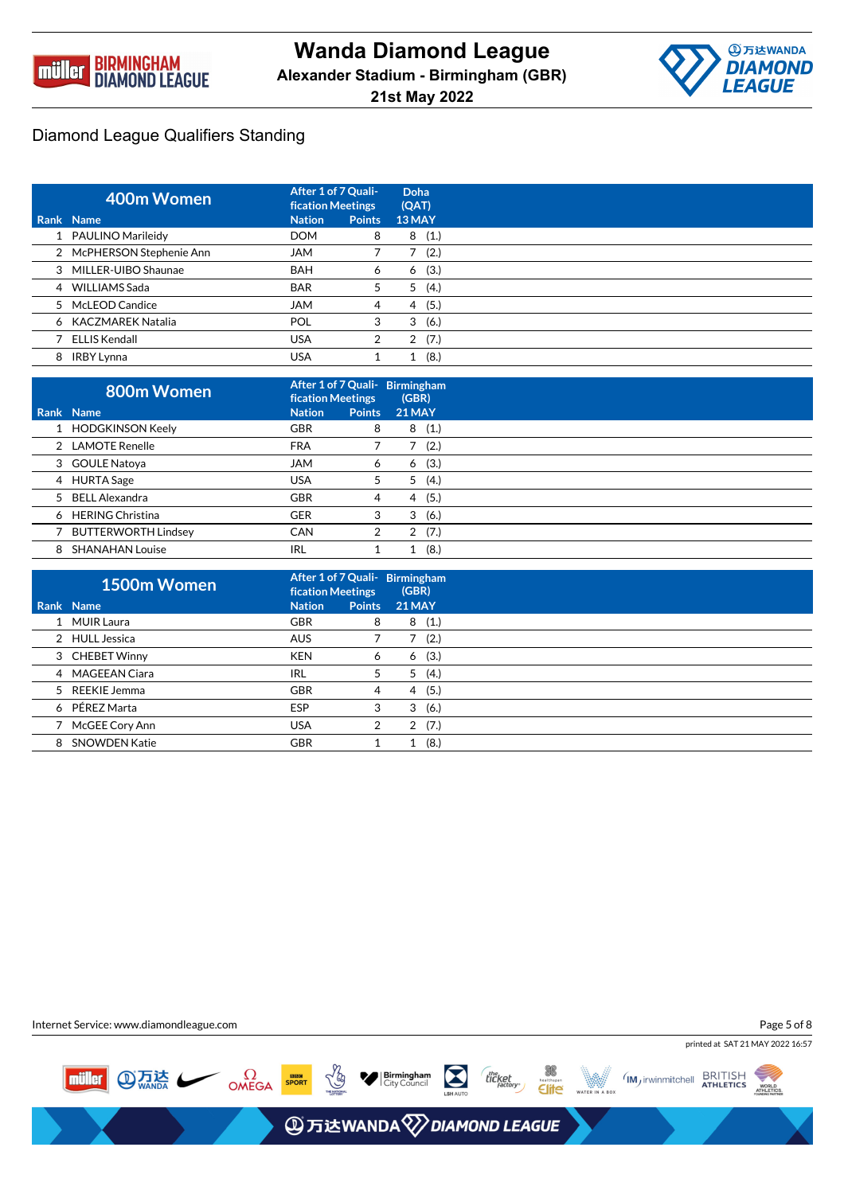



| 400m Women                | After 1 of 7 Quali-<br><b>fication Meetings</b> |               | Doha<br>(QAT) |
|---------------------------|-------------------------------------------------|---------------|---------------|
| Rank Name                 | <b>Nation</b>                                   | <b>Points</b> | 13 MAY        |
| 1 PAULINO Marileidy       | <b>DOM</b>                                      | 8             | (1.)<br>8     |
| 2 McPHERSON Stephenie Ann | <b>JAM</b>                                      |               | (2.)          |
| 3 MILLER-UIBO Shaunae     | <b>BAH</b>                                      | 6             | (3.)<br>6     |
| 4 WILLIAMS Sada           | <b>BAR</b>                                      | 5             | (4.)<br>5     |
| 5 McLEOD Candice          | <b>JAM</b>                                      | 4             | (5.)<br>4     |
| 6 KACZMAREK Natalia       | POL                                             | 3             | (6.)<br>3     |
| 7 ELLIS Kendall           | <b>USA</b>                                      | 2             | (7.)<br>2     |
| 8 IRBY Lynna              | USA                                             |               | (8.)          |

|   | 800m Women                 | After 1 of 7 Quali- Birmingham<br><b>fication Meetings</b> |   | (GBR)         |  |
|---|----------------------------|------------------------------------------------------------|---|---------------|--|
|   | Rank Name                  | <b>Points</b><br><b>Nation</b>                             |   | <b>21 MAY</b> |  |
|   | 1 HODGKINSON Keely         | <b>GBR</b>                                                 | 8 | 8<br>(1.)     |  |
|   | 2 LAMOTE Renelle           | <b>FRA</b>                                                 |   | (2.)          |  |
|   | 3 GOULE Natoya             | <b>JAM</b>                                                 | 6 | (3.)<br>6     |  |
|   | 4 HURTA Sage               | USA                                                        | 5 | (4.)<br>5     |  |
|   | 5 BELL Alexandra           | <b>GBR</b>                                                 | 4 | (5.)<br>4     |  |
|   | 6 HERING Christina         | <b>GER</b>                                                 | 3 | (6.)<br>3     |  |
|   | <b>BUTTERWORTH Lindsey</b> | <b>CAN</b>                                                 | 2 | (7.)<br>2     |  |
| 8 | <b>SHANAHAN Louise</b>     | <b>IRL</b>                                                 |   | (8.)          |  |

|      | 1500m Women          | After 1 of 7 Quali- Birmingham<br><b>fication Meetings</b> |               | (GBR)         |
|------|----------------------|------------------------------------------------------------|---------------|---------------|
| Rank | <b>Name</b>          | <b>Nation</b>                                              | <b>Points</b> | <b>21 MAY</b> |
|      | 1 MUIR Laura         | <b>GBR</b>                                                 | 8             | 8<br>(1.)     |
|      | 2 HULL Jessica       | <b>AUS</b>                                                 |               | (2.)          |
|      | 3 CHEBET Winny       | <b>KEN</b>                                                 | 6             | (3.)<br>6     |
| 4    | <b>MAGEEAN Ciara</b> | IRL                                                        | 5             | (4.)<br>5     |
|      | 5 REEKIE Jemma       | <b>GBR</b>                                                 | 4             | (5.)<br>4     |
| 6    | PÉREZ Marta          | <b>ESP</b>                                                 | 3             | (6.)<br>3     |
|      | McGEE Cory Ann       | <b>USA</b>                                                 | 2             | (7.)<br>2     |
| 8    | <b>SNOWDEN Katie</b> | <b>GBR</b>                                                 |               | (8.)          |

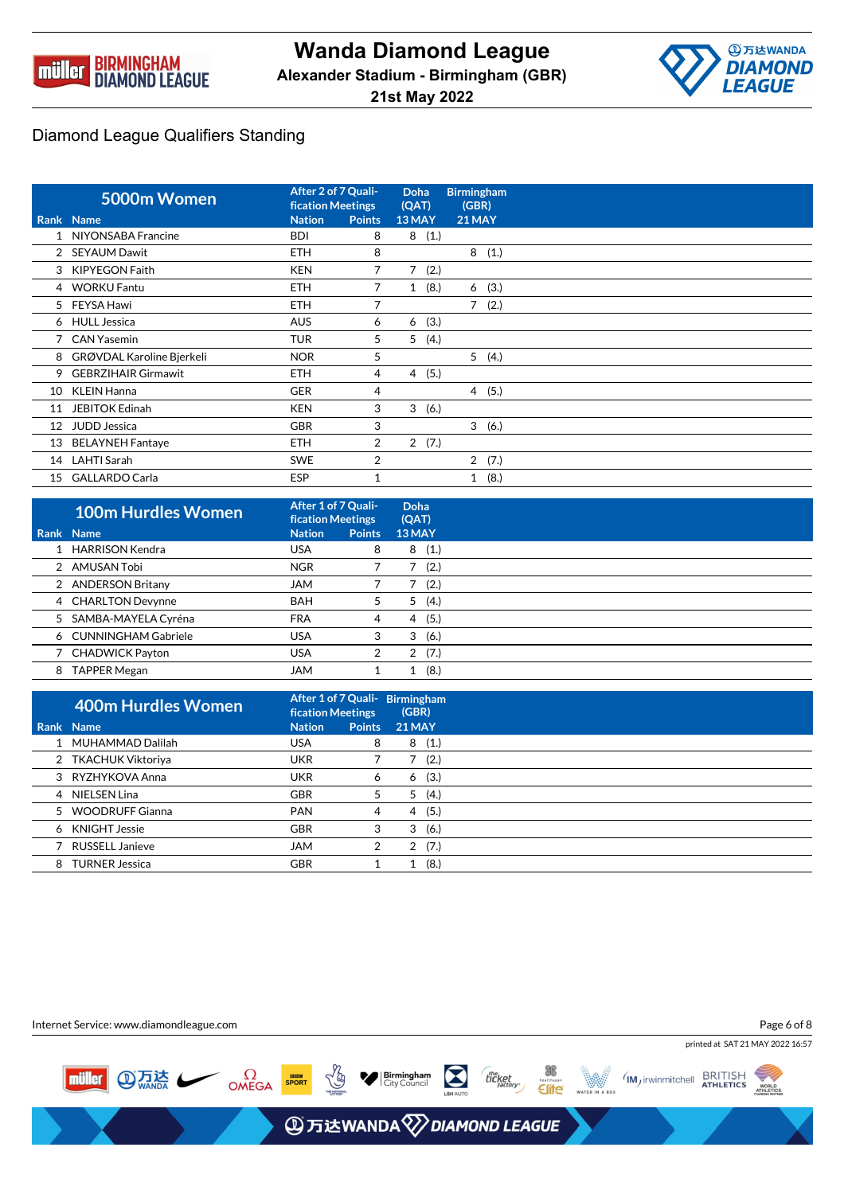



|    | 5000m Women                | After 2 of 7 Quali-<br><b>fication Meetings</b> |                | Doha<br>(QAT)        | <b>Birmingham</b><br>(GBR) |
|----|----------------------------|-------------------------------------------------|----------------|----------------------|----------------------------|
|    | <b>Rank Name</b>           | <b>Nation</b>                                   | <b>Points</b>  | 13 MAY               | 21 MAY                     |
|    | 1 NIYONSABA Francine       | <b>BDI</b>                                      | 8              | 8<br>(1.)            |                            |
|    | 2 SEYAUM Dawit             | <b>ETH</b>                                      | 8              |                      | 8(1.)                      |
| 3  | <b>KIPYEGON Faith</b>      | <b>KEN</b>                                      | 7              | 7(2.)                |                            |
|    | 4 WORKU Fantu              | <b>ETH</b>                                      | 7              | (8.)<br>$\mathbf{1}$ | (3.)<br>6                  |
|    | 5 FEYSA Hawi               | <b>ETH</b>                                      | 7              |                      | 7(2.)                      |
|    | 6 HULL Jessica             | <b>AUS</b>                                      | 6              | (3.)<br>6            |                            |
|    | 7 CAN Yasemin              | <b>TUR</b>                                      | 5              | 5<br>(4.)            |                            |
| 8  | GRØVDAL Karoline Bjerkeli  | <b>NOR</b>                                      | 5              |                      | 5(4.)                      |
| 9  | <b>GEBRZIHAIR Girmawit</b> | <b>ETH</b>                                      | 4              | 4(5.)                |                            |
| 10 | <b>KLEIN Hanna</b>         | <b>GER</b>                                      | 4              |                      | 4(5.)                      |
| 11 | <b>JEBITOK Edinah</b>      | <b>KEN</b>                                      | 3              | 3<br>(6.)            |                            |
| 12 | <b>JUDD Jessica</b>        | <b>GBR</b>                                      | 3              |                      | 3(6.)                      |
| 13 | <b>BELAYNEH Fantaye</b>    | <b>ETH</b>                                      | $\overline{2}$ | 2(7.)                |                            |
| 14 | LAHTI Sarah                | <b>SWE</b>                                      | $\overline{2}$ |                      | 2(7.)                      |
| 15 | <b>GALLARDO Carla</b>      | <b>ESP</b>                                      |                |                      | (8.)<br>1                  |

| <b>100m Hurdles Women</b> | After 1 of 7 Quali-<br><b>fication Meetings</b> |               | Doha<br>(QAT) |
|---------------------------|-------------------------------------------------|---------------|---------------|
| Rank Name                 | <b>Nation</b>                                   | <b>Points</b> | 13 MAY        |
| 1 HARRISON Kendra         | USA                                             | 8             | (1.)<br>8     |
| 2 AMUSAN Tobi             | <b>NGR</b>                                      |               | (2.)          |
| 2 ANDERSON Britany        | <b>MAL</b>                                      |               | (2.)          |
| 4 CHARLTON Devynne        | <b>BAH</b>                                      | 5             | (4.)<br>5     |
| 5 SAMBA-MAYELA Cyréna     | <b>FRA</b>                                      | 4             | (5.)<br>4     |
| 6 CUNNINGHAM Gabriele     | <b>USA</b>                                      | 3             | (6.)<br>3     |
| 7 CHADWICK Payton         | <b>USA</b>                                      | 2             | (7.)<br>2     |
| 8 TAPPER Megan            | JAM                                             |               | (8.)          |

|   | <b>400m Hurdles Women</b> | <b>fication Meetings</b> |               | After 1 of 7 Quali- Birmingham<br>(GBR) |
|---|---------------------------|--------------------------|---------------|-----------------------------------------|
|   | <b>Rank Name</b>          | <b>Nation</b>            | <b>Points</b> | <b>21 MAY</b>                           |
|   | 1 MUHAMMAD Dalilah        | <b>USA</b>               | 8             | (1.)<br>8                               |
|   | 2 TKACHUK Viktoriya       | <b>UKR</b>               |               | (2.)                                    |
|   | 3 RYZHYKOVA Anna          | <b>UKR</b>               | 6             | (3.)<br>6                               |
|   | 4 NIELSEN Lina            | <b>GBR</b>               | 5             | (4.)<br>5                               |
|   | 5 WOODRUFF Gianna         | <b>PAN</b>               | 4             | (5.)<br>4                               |
| 6 | KNIGHT Jessie             | <b>GBR</b>               | 3             | (6.)<br>3                               |
|   | RUSSELL Janieve           | <b>JAM</b>               | 2             | (7.)<br>2                               |
|   | 8 TURNER Jessica          | <b>GBR</b>               |               | (8.)                                    |

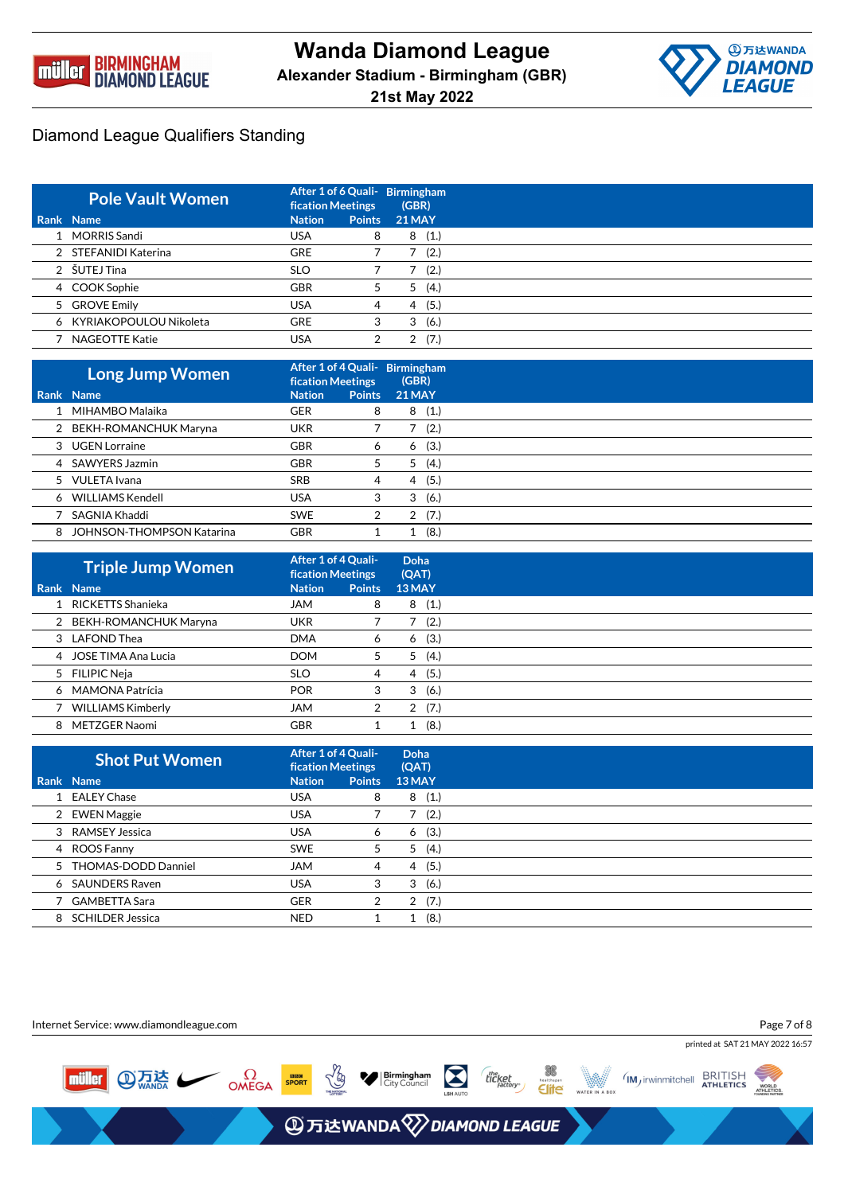



| <b>Pole Vault Women</b>  | <b>fication Meetings</b> |               | After 1 of 6 Quali- Birmingham<br>(GBR) |
|--------------------------|--------------------------|---------------|-----------------------------------------|
| Rank Name                | <b>Nation</b>            | <b>Points</b> | <b>21 MAY</b>                           |
| 1 MORRIS Sandi           | <b>USA</b>               | 8             | (1.)<br>8                               |
| 2 STEFANIDI Katerina     | <b>GRE</b>               |               | (2.)                                    |
| 2 ŠUTEJ Tina             | <b>SLO</b>               |               | (2.)                                    |
| 4 COOK Sophie            | <b>GBR</b>               |               | (4.)<br>5                               |
| 5 GROVE Emily            | USA                      | 4             | (5.)<br>4                               |
| 6 KYRIAKOPOULOU Nikoleta | <b>GRE</b>               | 3             | (6.)<br>3                               |
| 7 NAGEOTTE Katie         | USA                      |               | (7.)                                    |

|   | Long Jump Women                  | <b>fication Meetings</b> |               | After 1 of 4 Quali- Birmingham<br>(GBR) |
|---|----------------------------------|--------------------------|---------------|-----------------------------------------|
|   | Rank Name                        | <b>Nation</b>            | <b>Points</b> | <b>21 MAY</b>                           |
|   | 1 MIHAMBO Malaika                | <b>GER</b>               | 8             | (1.)<br>8                               |
|   | 2 BEKH-ROMANCHUK Maryna          | <b>UKR</b>               |               | (2.)                                    |
|   | 3 UGEN Lorraine                  | <b>GBR</b>               | 6             | (3.)<br>6                               |
|   | 4 SAWYERS Jazmin                 | <b>GBR</b>               | 5             | (4.)<br>5                               |
|   | 5 VULETA Ivana                   | <b>SRB</b>               | 4             | (5.)<br>4                               |
|   | 6 WILLIAMS Kendell               | <b>USA</b>               | 3             | (6.)<br>3                               |
|   | SAGNIA Khaddi                    | <b>SWE</b>               | 2             | (7.)<br>2                               |
| 8 | <b>JOHNSON-THOMPSON Katarina</b> | <b>GBR</b>               |               | (8.)                                    |

| <b>Triple Jump Women</b> | After 1 of 4 Quali-<br><b>fication Meetings</b> |               | Doha<br>(QAT) |
|--------------------------|-------------------------------------------------|---------------|---------------|
| Rank Name                | <b>Nation</b>                                   | <b>Points</b> | 13 MAY        |
| 1 RICKETTS Shanieka      | JAM                                             | 8             | (1.)<br>8     |
| 2 BEKH-ROMANCHUK Maryna  | UKR                                             |               | (2.)          |
| 3 LAFOND Thea            | <b>DMA</b>                                      | 6             | (3.)<br>6     |
| 4 JOSE TIMA Ana Lucia    | <b>DOM</b>                                      | 5             | (4.)<br>5     |
| 5 FILIPIC Neja           | <b>SLO</b>                                      | 4             | (5.)<br>4     |
| 6 MAMONA Patrícia        | <b>POR</b>                                      | 3             | (6.)<br>3     |
| <b>WILLIAMS Kimberly</b> | <b>JAM</b>                                      | 2             | (7.)<br>2     |
| 8 METZGER Naomi          | <b>GBR</b>                                      |               | (8.)          |

| <b>Shot Put Women</b> | After 1 of 4 Quali-<br><b>fication Meetings</b> |               | Doha<br>(QAT) |
|-----------------------|-------------------------------------------------|---------------|---------------|
| Rank Name             | <b>Nation</b>                                   | <b>Points</b> | 13 MAY        |
| 1 EALEY Chase         | <b>USA</b>                                      | 8             | (1.)<br>8     |
| 2 EWEN Maggie         | <b>USA</b>                                      |               | (2.)          |
| 3 RAMSEY Jessica      | <b>USA</b>                                      | 6             | (3.)<br>6     |
| 4 ROOS Fanny          | <b>SWE</b>                                      | 5             | (4.)<br>5     |
| 5 THOMAS-DODD Danniel | <b>JAM</b>                                      | 4             | (5.)<br>4     |
| 6 SAUNDERS Raven      | <b>USA</b>                                      | 3             | (6.)<br>3     |
| 7 GAMBETTA Sara       | <b>GER</b>                                      | 2             | (7.)<br>2     |
| 8 SCHILDER Jessica    | <b>NED</b>                                      |               | (8.)<br>1     |